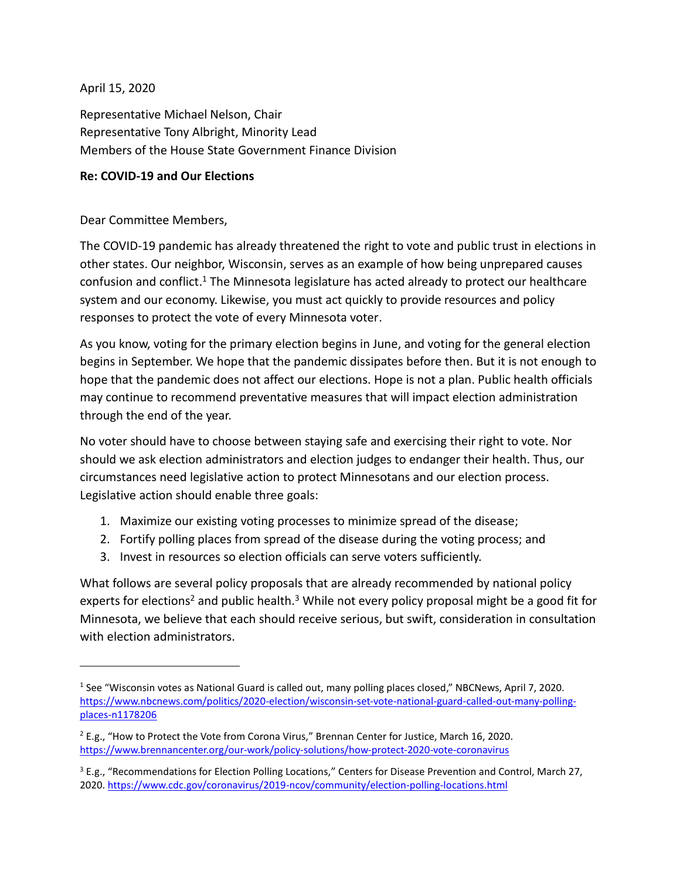## April 15, 2020

 $\overline{a}$ 

Representative Michael Nelson, Chair Representative Tony Albright, Minority Lead Members of the House State Government Finance Division

## **Re: COVID-19 and Our Elections**

Dear Committee Members,

The COVID-19 pandemic has already threatened the right to vote and public trust in elections in other states. Our neighbor, Wisconsin, serves as an example of how being unprepared causes confusion and conflict.<sup>1</sup> The Minnesota legislature has acted already to protect our healthcare system and our economy. Likewise, you must act quickly to provide resources and policy responses to protect the vote of every Minnesota voter.

As you know, voting for the primary election begins in June, and voting for the general election begins in September. We hope that the pandemic dissipates before then. But it is not enough to hope that the pandemic does not affect our elections. Hope is not a plan. Public health officials may continue to recommend preventative measures that will impact election administration through the end of the year.

No voter should have to choose between staying safe and exercising their right to vote. Nor should we ask election administrators and election judges to endanger their health. Thus, our circumstances need legislative action to protect Minnesotans and our election process. Legislative action should enable three goals:

- 1. Maximize our existing voting processes to minimize spread of the disease;
- 2. Fortify polling places from spread of the disease during the voting process; and
- 3. Invest in resources so election officials can serve voters sufficiently.

What follows are several policy proposals that are already recommended by national policy experts for elections<sup>2</sup> and public health.<sup>3</sup> While not every policy proposal might be a good fit for Minnesota, we believe that each should receive serious, but swift, consideration in consultation with election administrators.

<sup>&</sup>lt;sup>1</sup> See "Wisconsin votes as National Guard is called out, many polling places closed," NBCNews, April 7, 2020. [https://www.nbcnews.com/politics/2020-election/wisconsin-set-vote-national-guard-called-out-many-polling](https://www.nbcnews.com/politics/2020-election/wisconsin-set-vote-national-guard-called-out-many-polling-places-n1178206)[places-n1178206](https://www.nbcnews.com/politics/2020-election/wisconsin-set-vote-national-guard-called-out-many-polling-places-n1178206)

<sup>&</sup>lt;sup>2</sup> E.g., "How to Protect the Vote from Corona Virus," Brennan Center for Justice, March 16, 2020. <https://www.brennancenter.org/our-work/policy-solutions/how-protect-2020-vote-coronavirus>

 $3$  E.g., "Recommendations for Election Polling Locations," Centers for Disease Prevention and Control, March 27, 2020.<https://www.cdc.gov/coronavirus/2019-ncov/community/election-polling-locations.html>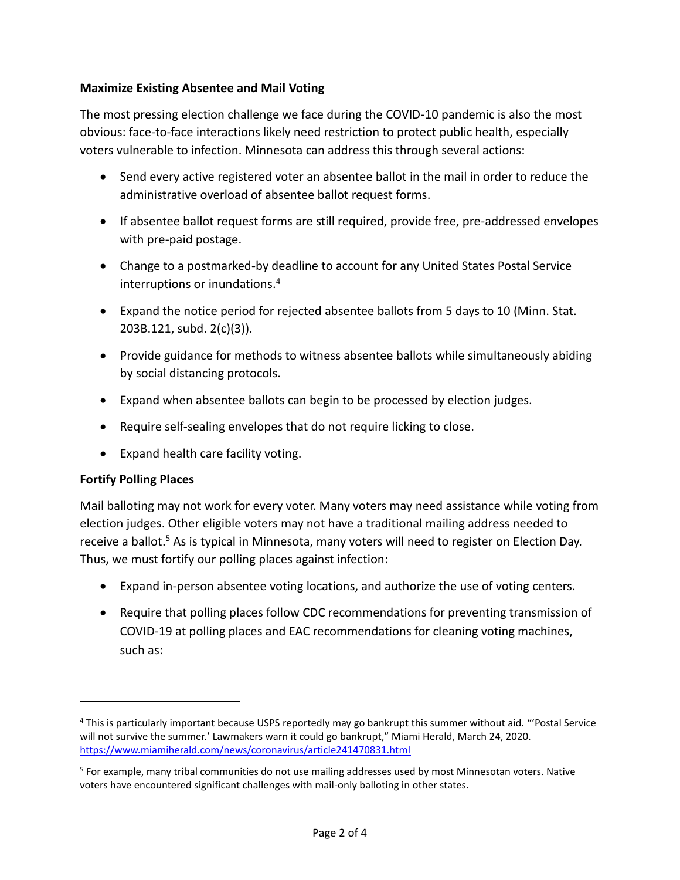# **Maximize Existing Absentee and Mail Voting**

The most pressing election challenge we face during the COVID-10 pandemic is also the most obvious: face-to-face interactions likely need restriction to protect public health, especially voters vulnerable to infection. Minnesota can address this through several actions:

- Send every active registered voter an absentee ballot in the mail in order to reduce the administrative overload of absentee ballot request forms.
- If absentee ballot request forms are still required, provide free, pre-addressed envelopes with pre-paid postage.
- Change to a postmarked-by deadline to account for any United States Postal Service interruptions or inundations. 4
- Expand the notice period for rejected absentee ballots from 5 days to 10 (Minn. Stat. 203B.121, subd. 2(c)(3)).
- Provide guidance for methods to witness absentee ballots while simultaneously abiding by social distancing protocols.
- Expand when absentee ballots can begin to be processed by election judges.
- Require self-sealing envelopes that do not require licking to close.
- Expand health care facility voting.

# **Fortify Polling Places**

 $\overline{a}$ 

Mail balloting may not work for every voter. Many voters may need assistance while voting from election judges. Other eligible voters may not have a traditional mailing address needed to receive a ballot.<sup>5</sup> As is typical in Minnesota, many voters will need to register on Election Day. Thus, we must fortify our polling places against infection:

- Expand in-person absentee voting locations, and authorize the use of voting centers.
- Require that polling places follow CDC recommendations for preventing transmission of COVID-19 at polling places and EAC recommendations for cleaning voting machines, such as:

<sup>4</sup> This is particularly important because USPS reportedly may go bankrupt this summer without aid. "'Postal Service will not survive the summer.' Lawmakers warn it could go bankrupt," Miami Herald, March 24, 2020. <https://www.miamiherald.com/news/coronavirus/article241470831.html>

<sup>&</sup>lt;sup>5</sup> For example, many tribal communities do not use mailing addresses used by most Minnesotan voters. Native voters have encountered significant challenges with mail-only balloting in other states.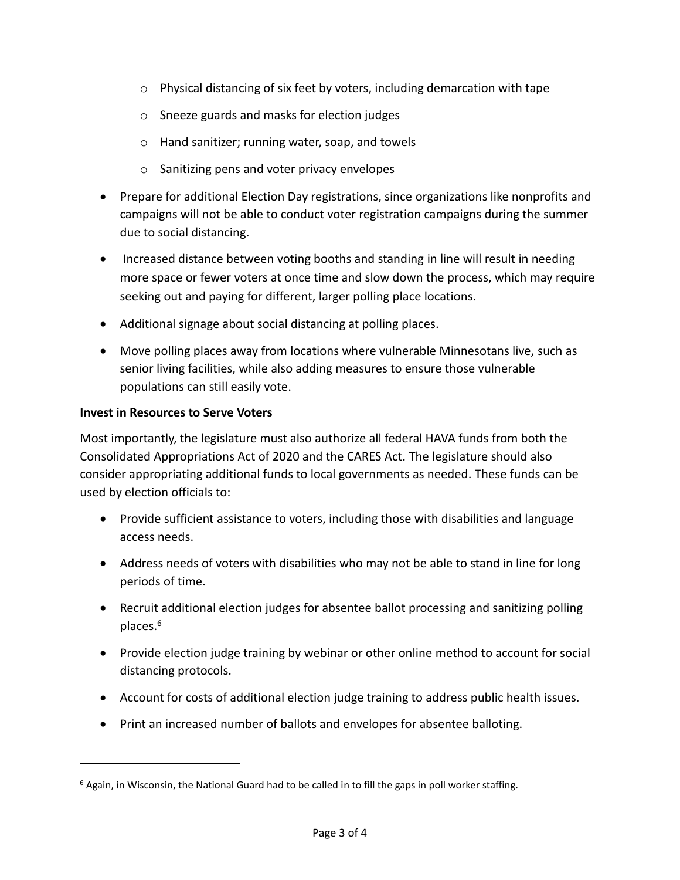- o Physical distancing of six feet by voters, including demarcation with tape
- o Sneeze guards and masks for election judges
- o Hand sanitizer; running water, soap, and towels
- o Sanitizing pens and voter privacy envelopes
- Prepare for additional Election Day registrations, since organizations like nonprofits and campaigns will not be able to conduct voter registration campaigns during the summer due to social distancing.
- Increased distance between voting booths and standing in line will result in needing more space or fewer voters at once time and slow down the process, which may require seeking out and paying for different, larger polling place locations.
- Additional signage about social distancing at polling places.
- Move polling places away from locations where vulnerable Minnesotans live, such as senior living facilities, while also adding measures to ensure those vulnerable populations can still easily vote.

## **Invest in Resources to Serve Voters**

 $\overline{a}$ 

Most importantly, the legislature must also authorize all federal HAVA funds from both the Consolidated Appropriations Act of 2020 and the CARES Act. The legislature should also consider appropriating additional funds to local governments as needed. These funds can be used by election officials to:

- Provide sufficient assistance to voters, including those with disabilities and language access needs.
- Address needs of voters with disabilities who may not be able to stand in line for long periods of time.
- Recruit additional election judges for absentee ballot processing and sanitizing polling places. 6
- Provide election judge training by webinar or other online method to account for social distancing protocols.
- Account for costs of additional election judge training to address public health issues.
- Print an increased number of ballots and envelopes for absentee balloting.

<sup>6</sup> Again, in Wisconsin, the National Guard had to be called in to fill the gaps in poll worker staffing.